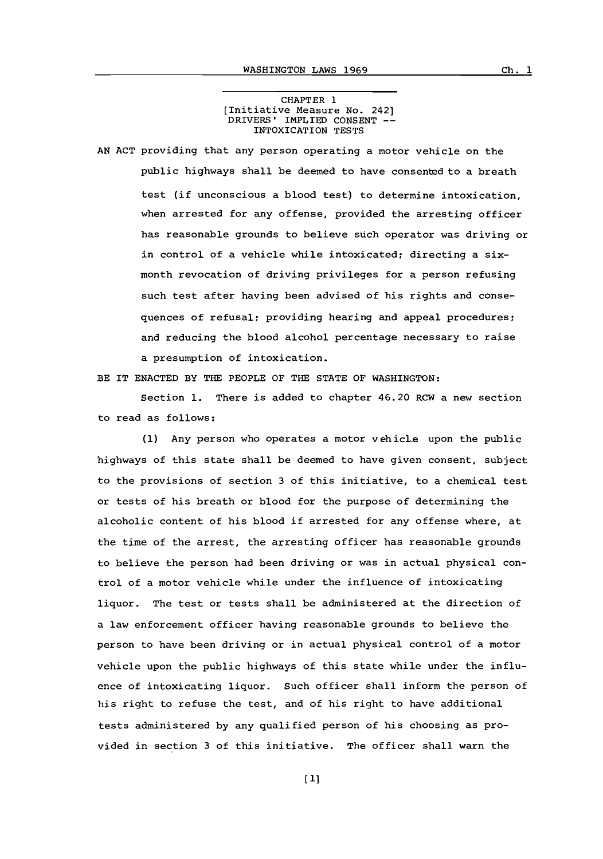## CHAPTER **1** [Initiative Measure No. 242] DRIVERS' IMPLIED **CONSENT --** INTOXICATION **TESTS**

**AN ACT** providing that any person operating a motor vehicle on the public highways shall be deemed to have consented to a breath test (if unconscious a blood test) to determine intoxication, when arrested for any offense, provided the arresting officer has reasonable grounds to believe such operator was driving or in control of a vehicle while intoxicated; directing a sixmonth revocation of driving privileges for a person refusing such test after having been advised of his rights and consequences of refusal; providing hearing and appeal procedures; and reducing the blood alcohol percentage necessary to raise a presumption of intoxication.

BE IT **ENACTED** BY THE PEOPLE **OF** THE **STATE** OF WASHINGTON:

Section **1.** There is added to chapter 46.20 RCW a new section to read as follows:

**(1)** Any person who operates a motor vehicle upon the public highways of this state shall be deemed to have given consent, subject to the provisions of section **3** of this initiative, to a chemical test or tests of his breath or blood for the purpose of determining the alcoholic content of his blood if arrested for any offense where, at the time of the arrest, the arresting officer has reasonable grounds to believe the person had been driving or was in actual physical control of a motor vehicle while under the influence of intoxicating liquor. The test or tests shall be administered at the direction of a law enforcement officer having reasonable grounds to believe the person to have been driving or in actual physical control of a motor vehicle upon the public highways of this state while under the influence of intoxicating liquor. Such officer shall inform the person of his right to refuse the test, and of his right to have additional tests administered **by** any qualified person of his choosing as provided in section **3** of this initiative. The officer shall warn the

**[1l**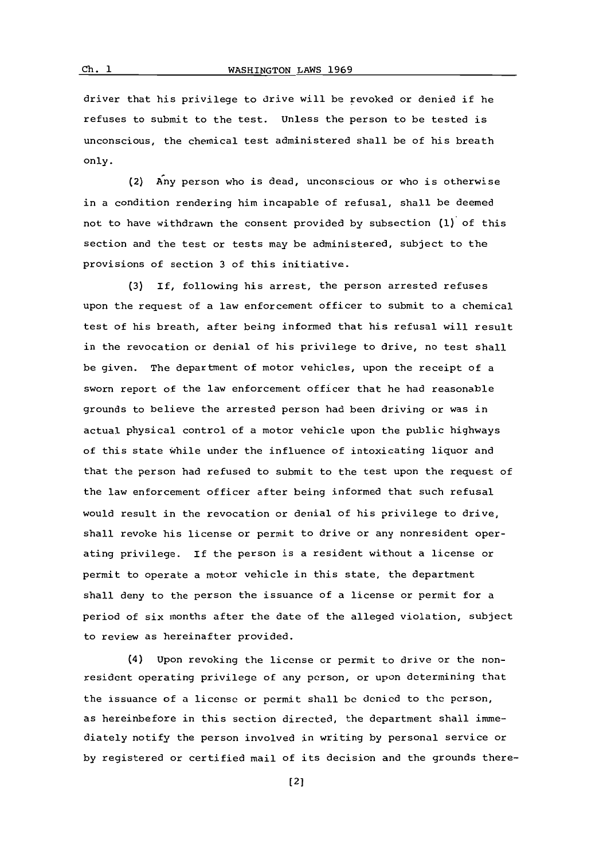driver that his privilege to drive will be revoked or denied if he refuses to submit to the test. Unless the person to be tested is unconscious, the chemical test administered shall be of his breath only.

(2) Any person who is dead, unconscious or who is otherwise in a condition rendering him incapable of refusal, shall be deemed not to have withdrawn the consent provided **by** subsection **(1)** of this section and the test or tests may be administered, subject to the provisions of section **3** of this initiative.

**(3) If,** following his arrest, the person arrested refuses upon the request of a law enforcement officer to submit to a chemical test of his breath, after being informed that his refusal will result in the revocation or denial of his privilege to drive, no test shall be given. The department of motor vehicles, upon the receipt of a sworn report of the law enforcement officer that he had reasonable grounds to believe the arrested person had been driving or was in actual physical control of a motor vehicle upon the public highways of this state while under the influence of intoxicating liquor and that the person had refused to submit to the test upon the request of the law enforcement officer after being informed that such refusal would result in the revocation or denial of his privilege to drive, shall revoke his license or permit to drive or any nonresident operating privilege. If the person is a resident without a license or permit to operate a motor vehicle in this state, the department shall deny to the person the issuance of a license or permit for a period of six months after the date of the alleged violation, subject to review as hereinafter provided.

(4) Upon revoking the license or permit to drive or the nonresident operating privilege of any person, or upon determining that the issuance of a license or permit shall **be** denied to the person, as hereinbefore in this section directed, the department shall immediately notify the person involved in writing **by** personal service or **by** registered or certified mail of its decision and the grounds there-

[2]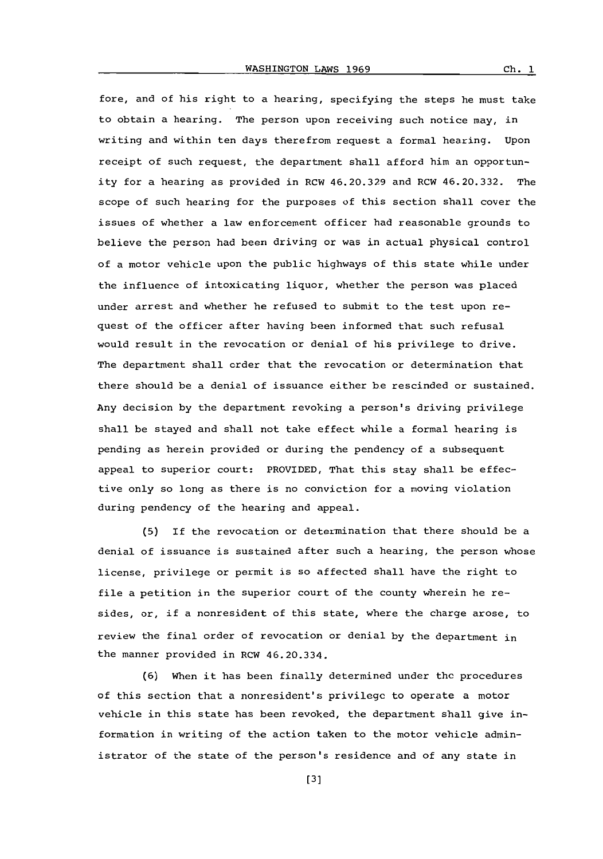$Ch. 1$ 

fore, and of his right to a hearing, specifying the steps he must take to obtain a hearing. The person upon receiving such notice may, in writing and within ten days therefrom request a formal hearing. Upon receipt of such request, the department shall afford him an opportunity for a hearing as provided in RCW 46.20.329 and RCW 46.20.332. The scope of such hearing for the purposes of this section shall cover the issues of whether a law enforcement officer had reasonable grounds to believe the person had been driving or was in actual physical control of a motor vehicle upon the public highways of this state while under the influence of intoxicating liquor, whether the person was placed under arrest and whether he refused to submit to the test upon request of the officer after having been informed that such refusal would result in the revocation or denial of his privilege to drive. The department shall order that the revocation or determination that there should be a denial of issuance either be rescinded or sustained. Any decision **by** the department revoking a person's driving privilege shall be stayed and shall not take effect while a formal hearing is pending as herein provided or during the pendency of a subsequent appeal to superior court: PROVIDED, That this stay shall be effective only so long as there is no conviction for a moving violation during pendency of the hearing and appeal.

**(5)** If the revocation or determination that there should be a denial of issuance is sustained after such a hearing, the person whose license, privilege or permit is so affected shall have the right to file a petition in the superior court of the county wherein he resides, or, if a nonresident of this state, where the charge arose, to review the final order of revocation or denial **by** the department in the manner provided in RCW 46.20.334.

**(6)** When it has been finally determined under the procedures of this section that a nonresident's privilege to operate a motor vehicle in this state has been revoked, the department shall give information in writing of the action taken to the motor vehicle administrator of the state of the person's residence and of any state in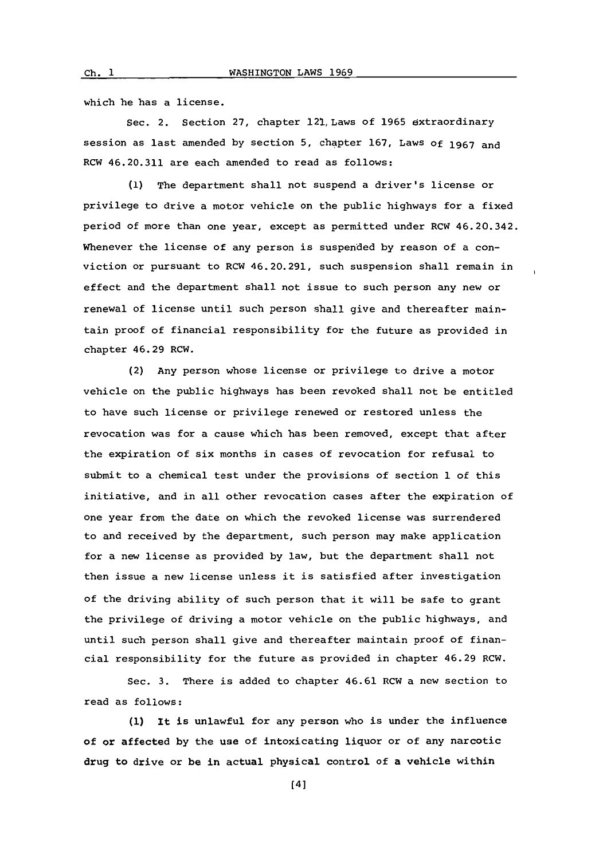which he has a license.

Sec. 2. Section **27,** chapter 121, Laws of **1965** extraordinary session as last amended **by** section **5.** chapter **167,** Laws **Of 1967** and RCW 46.20.311 are each amended to read as follows:

**(1)** The department shall not suspend a driver's license or privilege to drive a motor vehicle on the public highways for a fixed period of more than one year, except as permitted under RCW 46.20.342. Whenever the license of any person is suspended **by** reason of a conviction or pursuant to RCW 46.20.291, such suspension shall remain in effect and the department shall not issue to such person any new or renewal of license until such person shall give and thereafter maintain proof of financial responsibility for the future as provided in chapter 46.29 RCW.

(2) Any person whose license or privilege to drive a motor vehicle on the public highways has been revoked shall not be entitled to have such license or privilege renewed or restored unless the revocation was for a cause which has been removed, except that after the expiration of six months in cases of revocation for refusal to submit to a chemical test under the provisions of section **1** of this initiative, and in all other revocation cases after the expiration of one year from the date on which the revoked license was surrendered to and received **by** the department, such person may make application for a new license as provided **by** law, but the department shall not then issue a new license unless it is satisfied after investigation of the driving ability of such person that it will be safe to grant the privilege of driving a motor vehicle on the public highways, and until such person shall give and thereafter maintain proof of financial responsibility for the future as provided in chapter 46.29 RCW.

Sec. **3.** There is added to chapter 46.61 RCW a new section to read as follows:

**(1)** it is unlawful for any person who is under the influence of or affected **by** the use of intoxicating liquor or of any narcotic drug to drive or be in actual physical control of a vehicle within

 $ch. 1$ 

[4]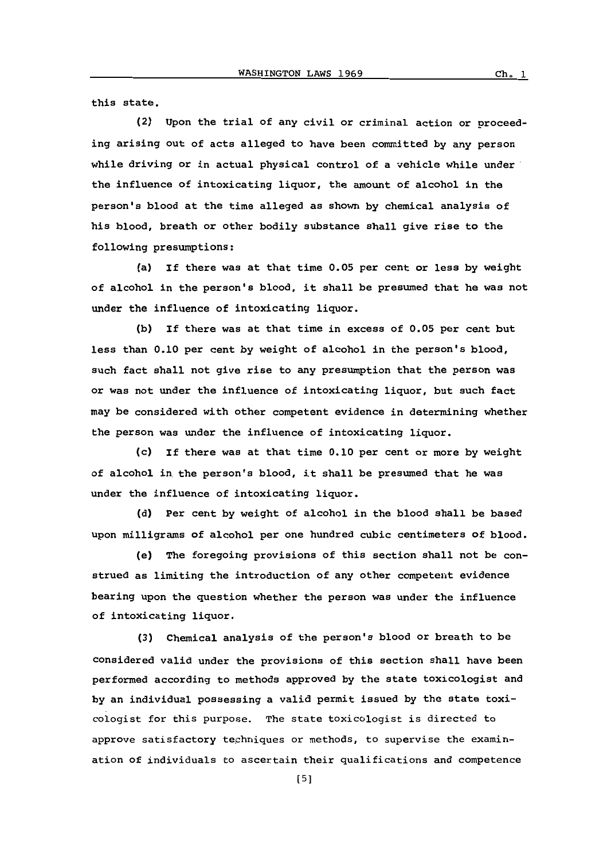this state.

(2) Upon the trial of any civil or criminal action or proceeding arising out of acts alleged to have been committed **by** any person while driving or in actual physical control of a vehicle while under the influence of intoxicating liquor, the amount of alcohol in the person's blood at the time alleged as shown **by** chemical analysis of his blood, breath or other bodily substance shall give rise to the following presumptions:

(a) If there was at that time **0.05** per cent or less **by** weight of alcohol in the person's blood, it shall be presumed that he was not under the influence of intoxicating liquor.

**(b) if** there was at that time in excess of **0.05** per cent but less than **0.10** per cent **by** weight of alcohol in the person's blood, such fact shall not give rise to any presumption that the person was or was not under the influence of intoxicating liquor, but such fact may be considered with other competent evidence in determining whether the person was under the influence of intoxicating liquor.

(c) If there was at that time **0.10** per cent or more **by** weight of alcohol in the person's blood, it shall be presumed that he was under the influence of intoxicating liquor.

**(d)** Per cent **by** weight of alcohol in the blood shall be based upon milligrams of alcohol per one hundred cubic centimeters of blood.

(e) The foregoing provisions of this section shall not be construed as limiting the introduction of any other competent evidence bearing upon the question whether the person was under the influence of intoxicating liquor.

**(3)** Chemical analysis of the person's blood or breath to be considered valid under the provisions of this section shall have been performed according to methods approved **by** the state toxicologist and **by** an individual possessing a valid permit issued **by** the state toxicologist for this purpose. The state toxicologist is directed to approve satisfactory techniques or methods, to supervise the examination of individuals to ascertain their qualifications and competence

**[5]**